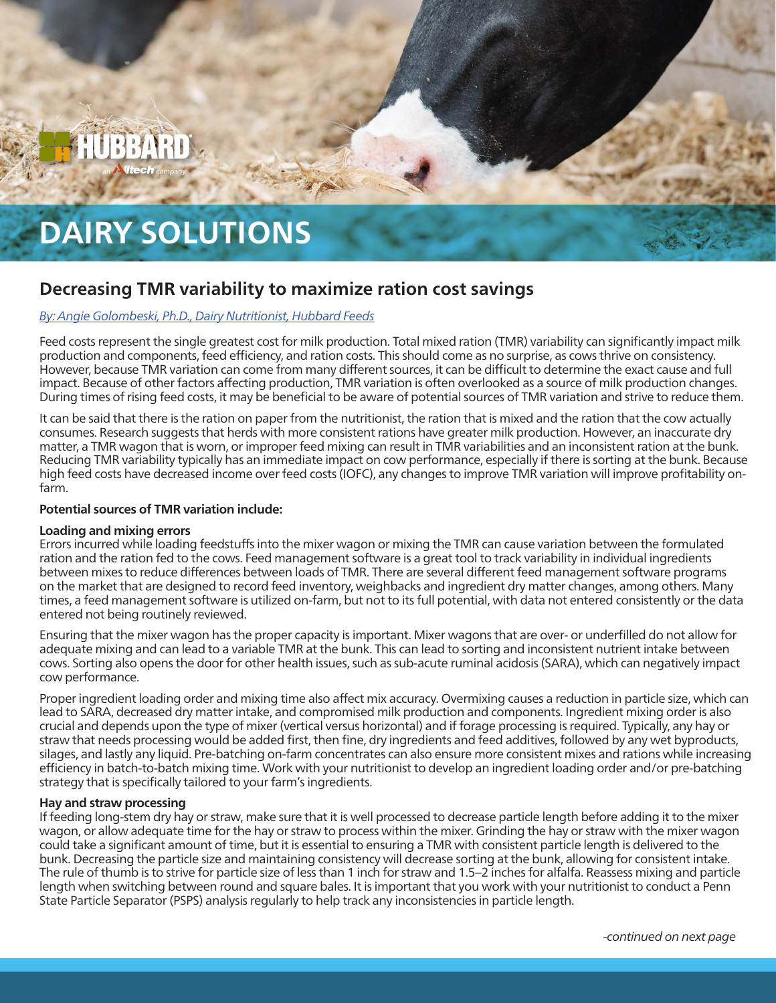

# **DAIRY SOLUTIONS**

# **Decreasing TMR variability to maximize ration cost savings**

# *[By:](mailto:dairyteam%40hubbardfeeds.com?subject=) Angie Golombeski, Ph.D., Dairy Nutritionist, Hubbard Feeds*

Feed costs represent the single greatest cost for milk production. Total mixed ration (TMR) variability can significantly impact milk production and components, feed efficiency, and ration costs. This should come as no surprise, as cows thrive on consistency. However, because TMR variation can come from many different sources, it can be difficult to determine the exact cause and full impact. Because of other factors affecting production, TMR variation is often overlooked as a source of milk production changes. During times of rising feed costs, it may be beneficial to be aware of potential sources of TMR variation and strive to reduce them.

It can be said that there is the ration on paper from the nutritionist, the ration that is mixed and the ration that the cow actually consumes. Research suggests that herds with more consistent rations have greater milk production. However, an inaccurate dry matter, a TMR wagon that is worn, or improper feed mixing can result in TMR variabilities and an inconsistent ration at the bunk. Reducing TMR variability typically has an immediate impact on cow performance, especially if there is sorting at the bunk. Because high feed costs have decreased income over feed costs (IOFC), any changes to improve TMR variation will improve profitability onfarm.

# **Potential sources of TMR variation include:**

#### **Loading and mixing errors**

Errors incurred while loading feedstuffs into the mixer wagon or mixing the TMR can cause variation between the formulated ration and the ration fed to the cows. Feed management software is a great tool to track variability in individual ingredients between mixes to reduce differences between loads of TMR. There are several different feed management software programs on the market that are designed to record feed inventory, weighbacks and ingredient dry matter changes, among others. Many times, a feed management software is utilized on-farm, but not to its full potential, with data not entered consistently or the data entered not being routinely reviewed.

Ensuring that the mixer wagon has the proper capacity is important. Mixer wagons that are over- or underfilled do not allow for adequate mixing and can lead to a variable TMR at the bunk. This can lead to sorting and inconsistent nutrient intake between cows. Sorting also opens the door for other health issues, such as sub-acute ruminal acidosis (SARA), which can negatively impact cow performance.

Proper ingredient loading order and mixing time also affect mix accuracy. Overmixing causes a reduction in particle size, which can lead to SARA, decreased dry matter intake, and compromised milk production and components. Ingredient mixing order is also crucial and depends upon the type of mixer (vertical versus horizontal) and if forage processing is required. Typically, any hay or straw that needs processing would be added first, then fine, dry ingredients and feed additives, followed by any wet byproducts, silages, and lastly any liquid. Pre-batching on-farm concentrates can also ensure more consistent mixes and rations while increasing efficiency in batch-to-batch mixing time. Work with your nutritionist to develop an ingredient loading order and/or pre-batching strategy that is specifically tailored to your farm's ingredients.

#### **Hay and straw processing**

If feeding long-stem dry hay or straw, make sure that it is well processed to decrease particle length before adding it to the mixer wagon, or allow adequate time for the hay or straw to process within the mixer. Grinding the hay or straw with the mixer wagon could take a significant amount of time, but it is essential to ensuring a TMR with consistent particle length is delivered to the bunk. Decreasing the particle size and maintaining consistency will decrease sorting at the bunk, allowing for consistent intake. The rule of thumb is to strive for particle size of less than 1 inch for straw and 1.5–2 inches for alfalfa. Reassess mixing and particle length when switching between round and square bales. It is important that you work with your nutritionist to conduct a Penn State Particle Separator (PSPS) analysis regularly to help track any inconsistencies in particle length.